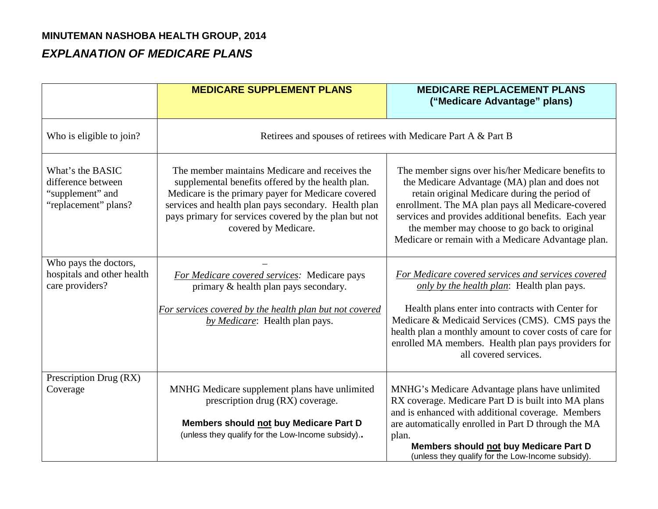## **MINUTEMAN NASHOBA HEALTH GROUP, 2014**

## *EXPLANATION OF MEDICARE PLANS*

|                                                                                    | <b>MEDICARE SUPPLEMENT PLANS</b>                                                                                                                                                                                                                                                                   | <b>MEDICARE REPLACEMENT PLANS</b><br>("Medicare Advantage" plans)                                                                                                                                                                                                                                                                                                       |  |
|------------------------------------------------------------------------------------|----------------------------------------------------------------------------------------------------------------------------------------------------------------------------------------------------------------------------------------------------------------------------------------------------|-------------------------------------------------------------------------------------------------------------------------------------------------------------------------------------------------------------------------------------------------------------------------------------------------------------------------------------------------------------------------|--|
| Who is eligible to join?                                                           | Retirees and spouses of retirees with Medicare Part A & Part B                                                                                                                                                                                                                                     |                                                                                                                                                                                                                                                                                                                                                                         |  |
| What's the BASIC<br>difference between<br>"supplement" and<br>"replacement" plans? | The member maintains Medicare and receives the<br>supplemental benefits offered by the health plan.<br>Medicare is the primary payer for Medicare covered<br>services and health plan pays secondary. Health plan<br>pays primary for services covered by the plan but not<br>covered by Medicare. | The member signs over his/her Medicare benefits to<br>the Medicare Advantage (MA) plan and does not<br>retain original Medicare during the period of<br>enrollment. The MA plan pays all Medicare-covered<br>services and provides additional benefits. Each year<br>the member may choose to go back to original<br>Medicare or remain with a Medicare Advantage plan. |  |
| Who pays the doctors,<br>hospitals and other health<br>care providers?             | For Medicare covered services: Medicare pays<br>primary & health plan pays secondary.<br>For services covered by the health plan but not covered<br>by <i>Medicare</i> : Health plan pays.                                                                                                         | For Medicare covered services and services covered<br>only by the health plan: Health plan pays.<br>Health plans enter into contracts with Center for<br>Medicare & Medicaid Services (CMS). CMS pays the<br>health plan a monthly amount to cover costs of care for<br>enrolled MA members. Health plan pays providers for<br>all covered services.                    |  |
| Prescription Drug (RX)<br>Coverage                                                 | MNHG Medicare supplement plans have unlimited<br>prescription drug (RX) coverage.<br>Members should not buy Medicare Part D<br>(unless they qualify for the Low-Income subsidy)                                                                                                                    | MNHG's Medicare Advantage plans have unlimited<br>RX coverage. Medicare Part D is built into MA plans<br>and is enhanced with additional coverage. Members<br>are automatically enrolled in Part D through the MA<br>plan.<br>Members should not buy Medicare Part D<br>(unless they qualify for the Low-Income subsidy).                                               |  |